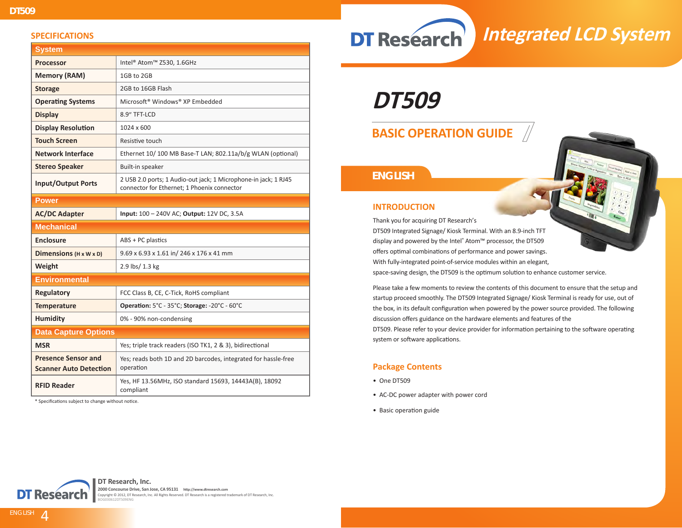#### **SPECIFICATIONS**

| <b>System</b>                                               |                                                                                                                |  |
|-------------------------------------------------------------|----------------------------------------------------------------------------------------------------------------|--|
| <b>Processor</b>                                            | Intel <sup>®</sup> Atom™ Z530, 1.6GHz                                                                          |  |
| <b>Memory (RAM)</b>                                         | 1GB to 2GB                                                                                                     |  |
| <b>Storage</b>                                              | 2GB to 16GB Flash                                                                                              |  |
| <b>Operating Systems</b>                                    | Microsoft <sup>®</sup> Windows <sup>®</sup> XP Embedded                                                        |  |
| <b>Display</b>                                              | 8.9" TFT-LCD                                                                                                   |  |
| <b>Display Resolution</b>                                   | 1024 x 600                                                                                                     |  |
| <b>Touch Screen</b>                                         | Resistive touch                                                                                                |  |
| <b>Network Interface</b>                                    | Ethernet 10/100 MB Base-T LAN; 802.11a/b/g WLAN (optional)                                                     |  |
| <b>Stereo Speaker</b>                                       | Built-in speaker                                                                                               |  |
| <b>Input/Output Ports</b>                                   | 2 USB 2.0 ports; 1 Audio-out jack; 1 Microphone-in jack; 1 RJ45<br>connector for Ethernet: 1 Phoenix connector |  |
| <b>Power</b>                                                |                                                                                                                |  |
| <b>AC/DC Adapter</b>                                        | Input: 100 - 240V AC; Output: 12V DC, 3.5A                                                                     |  |
| <b>Mechanical</b>                                           |                                                                                                                |  |
| <b>Enclosure</b>                                            | ABS + PC plastics                                                                                              |  |
| Dimensions $(H \times W \times D)$                          | 9.69 x 6.93 x 1.61 in/ 246 x 176 x 41 mm                                                                       |  |
| Weight                                                      | 2.9 lbs/ 1.3 kg                                                                                                |  |
| <b>Environmental</b>                                        |                                                                                                                |  |
| Regulatory                                                  | FCC Class B, CE, C-Tick, RoHS compliant                                                                        |  |
| <b>Temperature</b>                                          | Operation: 5°C - 35°C; Storage: -20°C - 60°C                                                                   |  |
| <b>Humidity</b>                                             | 0% - 90% non-condensing                                                                                        |  |
| <b>Data Capture Options</b>                                 |                                                                                                                |  |
| <b>MSR</b>                                                  | Yes; triple track readers (ISO TK1, 2 & 3), bidirectional                                                      |  |
| <b>Presence Sensor and</b><br><b>Scanner Auto Detection</b> | Yes; reads both 1D and 2D barcodes, integrated for hassle-free<br>operation                                    |  |
| <b>RFID Reader</b>                                          | Yes, HF 13.56MHz, ISO standard 15693, 14443A(B), 18092<br>compliant                                            |  |

\* Specifications subject to change without notice.

**DT Research** 

# **Integrated LCD System**

**DT509**

# **BASIC OPERATION GUIDE**

## *ENGLISH*



Thank you for acquiring DT Research's

DT509 Integrated Signage/ Kiosk Terminal. With an 8.9-inch TFT display and powered by the Intel® Atom™ processor, the DT509 offers optimal combinations of performance and power savings. With fully-integrated point-of-service modules within an elegant, space-saving design, the DT509 is the optimum solution to enhance customer service.

Please take a few moments to review the contents of this document to ensure that the setup and startup proceed smoothly. The DT509 Integrated Signage/ Kiosk Terminal is ready for use, out of the box, in its default configuration when powered by the power source provided. The following discussion offers guidance on the hardware elements and features of the

DT509. Please refer to your device provider for information pertaining to the software operating system or software applications.

#### **Package Contents**

- One DT509
- AC-DC power adapter with power cord
- Basic operation guide